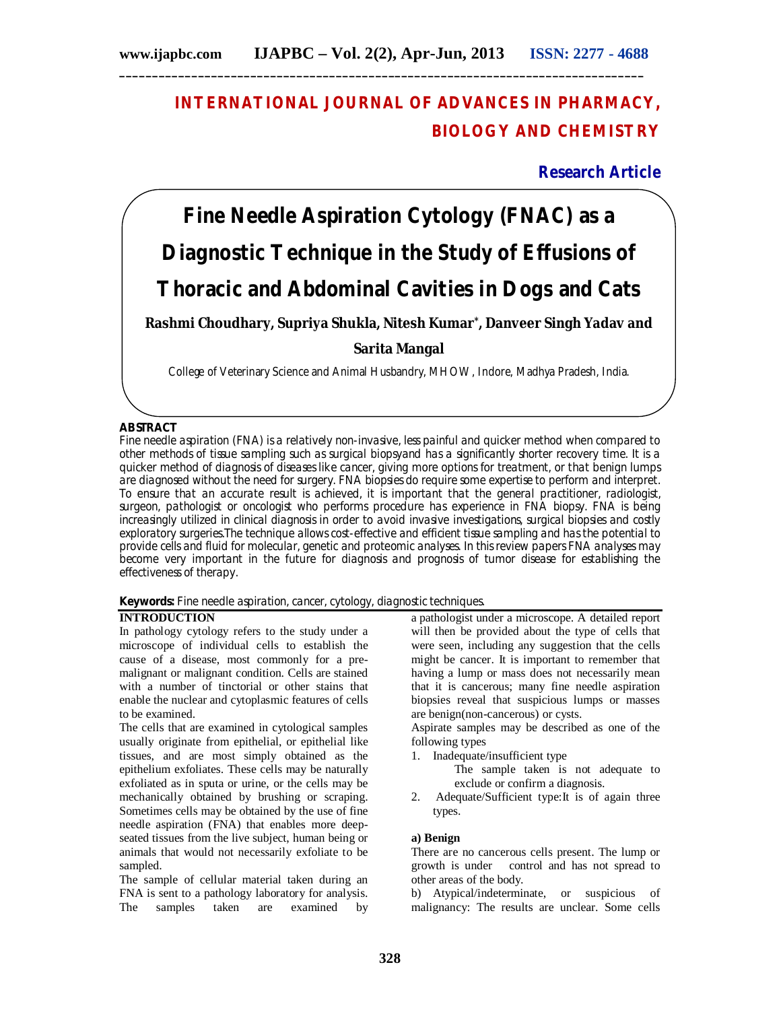# **INTERNATIONAL JOURNAL OF ADVANCES IN PHARMACY, BIOLOGY AND CHEMISTRY**

# **Research Article**

# **Fine Needle Aspiration Cytology (FNAC) as a Diagnostic Technique in the Study of Effusions of Thoracic and Abdominal Cavities in Dogs and Cats**

**Rashmi Choudhary, Supriya Shukla, Nitesh Kumar\* , Danveer Singh Yadav and** 

# **Sarita Mangal**

College of Veterinary Science and Animal Husbandry, MHOW, Indore, Madhya Pradesh, India.

# **ABSTRACT**

Fine needle aspiration (FNA) is a relatively non-invasive, less painful and quicker method when compared to other methods of tissue sampling such as surgical biopsyand has a significantly shorter recovery time. It is a quicker method of diagnosis of diseases like cancer, giving more options for treatment, or that benign lumps are diagnosed without the need for surgery. FNA biopsies do require some expertise to perform and interpret. To ensure that an accurate result is achieved, it is important that the general practitioner, radiologist, surgeon, pathologist or oncologist who performs procedure has experience in FNA biopsy. FNA is being increasingly utilized in clinical diagnosis in order to avoid invasive investigations, surgical biopsies and costly exploratory surgeries.The technique allows cost-effective and efficient tissue sampling and has the potential to provide cells and fluid for molecular, genetic and proteomic analyses. In this review papers FNA analyses may become very important in the future for diagnosis and prognosis of tumor disease for establishing the effectiveness of therapy.

**Keywords:** Fine needle aspiration, cancer, cytology, diagnostic techniques.

# **INTRODUCTION**

In pathology cytology refers to the study under a microscope of individual cells to establish the cause of a disease, most commonly for a premalignant or malignant condition. Cells are stained with a number of tinctorial or other stains that enable the nuclear and cytoplasmic features of cells to be examined.

The cells that are examined in cytological samples usually originate from epithelial, or epithelial like tissues, and are most simply obtained as the epithelium exfoliates. These cells may be naturally exfoliated as in sputa or urine, or the cells may be mechanically obtained by brushing or scraping. Sometimes cells may be obtained by the use of fine needle aspiration (FNA) that enables more deepseated tissues from the live subject, human being or animals that would not necessarily exfoliate to be sampled.

The sample of cellular material taken during an FNA is sent to a pathology laboratory for analysis. The samples taken are examined by a pathologist under a microscope. A detailed report will then be provided about the type of cells that were seen, including any suggestion that the cells might be cancer. It is important to remember that having a lump or mass does not necessarily mean that it is cancerous; many fine needle aspiration biopsies reveal that suspicious lumps or masses are benign(non-cancerous) or cysts.

Aspirate samples may be described as one of the following types

- 1. Inadequate/insufficient type
	- The sample taken is not adequate to exclude or confirm a diagnosis.
- 2. Adequate/Sufficient type:It is of again three types.

### **a) Benign**

There are no cancerous cells present. The lump or growth is under control and has not spread to other areas of the body.

b) Atypical/indeterminate, or suspicious of malignancy: The results are unclear. Some cells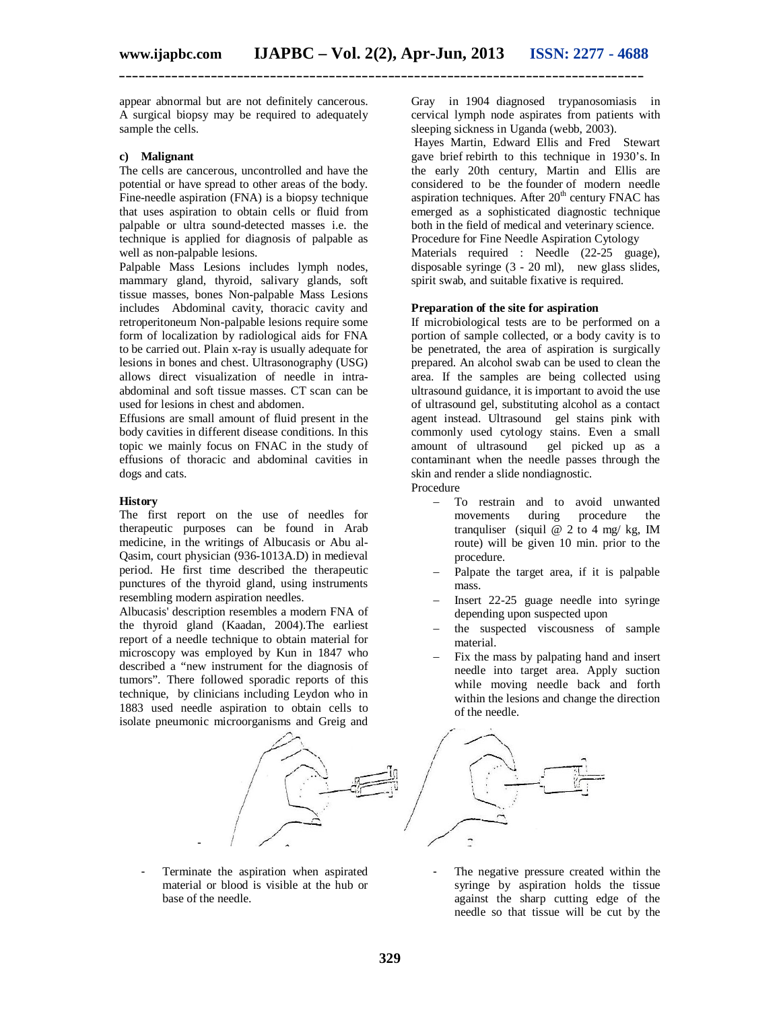appear abnormal but are not definitely cancerous. A surgical biopsy may be required to adequately sample the cells.

#### **c) Malignant**

The cells are cancerous, uncontrolled and have the potential or have spread to other areas of the body. Fine-needle aspiration (FNA) is a biopsy technique that uses aspiration to obtain cells or fluid from palpable or ultra sound-detected masses i.e. the technique is applied for diagnosis of palpable as well as non-palpable lesions.

Palpable Mass Lesions includes lymph nodes, mammary gland, thyroid, salivary glands, soft tissue masses, bones Non-palpable Mass Lesions includes Abdominal cavity, thoracic cavity and retroperitoneum Non-palpable lesions require some form of localization by radiological aids for FNA to be carried out. Plain x-ray is usually adequate for lesions in bones and chest. Ultrasonography (USG) allows direct visualization of needle in intraabdominal and soft tissue masses. CT scan can be used for lesions in chest and abdomen.

Effusions are small amount of fluid present in the body cavities in different disease conditions. In this topic we mainly focus on FNAC in the study of effusions of thoracic and abdominal cavities in dogs and cats.

#### **History**

The first report on the use of needles for therapeutic purposes can be found in Arab medicine, in the writings of Albucasis or Abu al-Qasim, court physician (936-1013A.D) in medieval period. He first time described the therapeutic punctures of the thyroid gland, using instruments resembling modern aspiration needles.

Albucasis' description resembles a modern FNA of the thyroid gland (Kaadan, 2004).The earliest report of a needle technique to obtain material for microscopy was employed by Kun in 1847 who described a "new instrument for the diagnosis of tumors". There followed sporadic reports of this technique, by clinicians including Leydon who in 1883 used needle aspiration to obtain cells to isolate pneumonic microorganisms and Greig and Gray in 1904 diagnosed trypanosomiasis in cervical lymph node aspirates from patients with sleeping sickness in Uganda (webb, 2003).

Hayes Martin, Edward Ellis and Fred Stewart gave brief rebirth to this technique in 1930's. In the early 20th century, Martin and Ellis are considered to be the founder of modern needle aspiration techniques. After  $20<sup>th</sup>$  century FNAC has emerged as a sophisticated diagnostic technique both in the field of medical and veterinary science. Procedure for Fine Needle Aspiration Cytology Materials required : Needle (22-25 guage), disposable syringe (3 - 20 ml), new glass slides, spirit swab, and suitable fixative is required.

# **Preparation of the site for aspiration**

If microbiological tests are to be performed on a portion of sample collected, or a body cavity is to be penetrated, the area of aspiration is surgically prepared. An alcohol swab can be used to clean the area. If the samples are being collected using ultrasound guidance, it is important to avoid the use of ultrasound gel, substituting alcohol as a contact agent instead. Ultrasound gel stains pink with commonly used cytology stains. Even a small amount of ultrasound gel picked up as a contaminant when the needle passes through the skin and render a slide nondiagnostic. Procedure

- To restrain and to avoid unwanted movements during procedure the tranquliser (siquil  $\overline{Q}$  2 to 4 mg/ kg, IM route) will be given 10 min. prior to the procedure.
- Palpate the target area, if it is palpable mass.
- Insert 22-25 guage needle into syringe depending upon suspected upon
- the suspected viscousness of sample material.
- Fix the mass by palpating hand and insert needle into target area. Apply suction while moving needle back and forth within the lesions and change the direction of the needle.



- Terminate the aspiration when aspirated material or blood is visible at the hub or base of the needle.

-

The negative pressure created within the syringe by aspiration holds the tissue against the sharp cutting edge of the needle so that tissue will be cut by the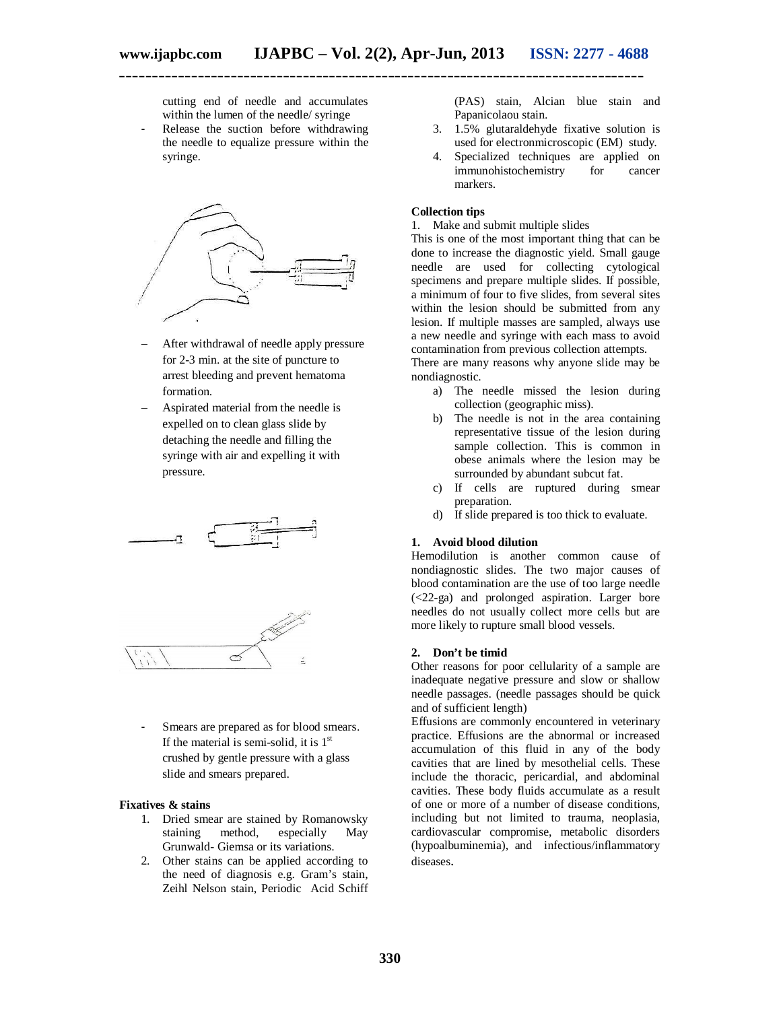cutting end of needle and accumulates within the lumen of the needle/ syringe

- Release the suction before withdrawing the needle to equalize pressure within the syringe.



- After withdrawal of needle apply pressure for 2-3 min. at the site of puncture to arrest bleeding and prevent hematoma formation.
- Aspirated material from the needle is expelled on to clean glass slide by detaching the needle and filling the syringe with air and expelling it with pressure.



Smears are prepared as for blood smears. If the material is semi-solid, it is  $1<sup>st</sup>$ crushed by gentle pressure with a glass slide and smears prepared.

#### **Fixatives & stains**

- 1. Dried smear are stained by Romanowsky staining method, especially May Grunwald- Giemsa or its variations.
- 2. Other stains can be applied according to the need of diagnosis e.g. Gram's stain, Zeihl Nelson stain, Periodic Acid Schiff

(PAS) stain, Alcian blue stain and Papanicolaou stain.

- 3. 1.5% glutaraldehyde fixative solution is used for electronmicroscopic (EM) study.
- 4. Specialized techniques are applied on immunohistochemistry for cancer markers.

# **Collection tips**

#### 1. Make and submit multiple slides

This is one of the most important thing that can be done to increase the diagnostic yield. Small gauge needle are used for collecting cytological specimens and prepare multiple slides. If possible, a minimum of four to five slides, from several sites within the lesion should be submitted from any lesion. If multiple masses are sampled, always use a new needle and syringe with each mass to avoid contamination from previous collection attempts.

There are many reasons why anyone slide may be nondiagnostic.

- a) The needle missed the lesion during collection (geographic miss).
- b) The needle is not in the area containing representative tissue of the lesion during sample collection. This is common in obese animals where the lesion may be surrounded by abundant subcut fat.
- c) If cells are ruptured during smear preparation.
- d) If slide prepared is too thick to evaluate.

#### **1. Avoid blood dilution**

Hemodilution is another common cause of nondiagnostic slides. The two major causes of blood contamination are the use of too large needle (<22-ga) and prolonged aspiration. Larger bore needles do not usually collect more cells but are more likely to rupture small blood vessels.

#### **2. Don't be timid**

Other reasons for poor cellularity of a sample are inadequate negative pressure and slow or shallow needle passages. (needle passages should be quick and of sufficient length)

Effusions are commonly encountered in veterinary practice. Effusions are the abnormal or increased accumulation of this fluid in any of the body cavities that are lined by mesothelial cells. These include the thoracic, pericardial, and abdominal cavities. These body fluids accumulate as a result of one or more of a number of disease conditions, including but not limited to trauma, neoplasia, cardiovascular compromise, metabolic disorders (hypoalbuminemia), and infectious/inflammatory diseases.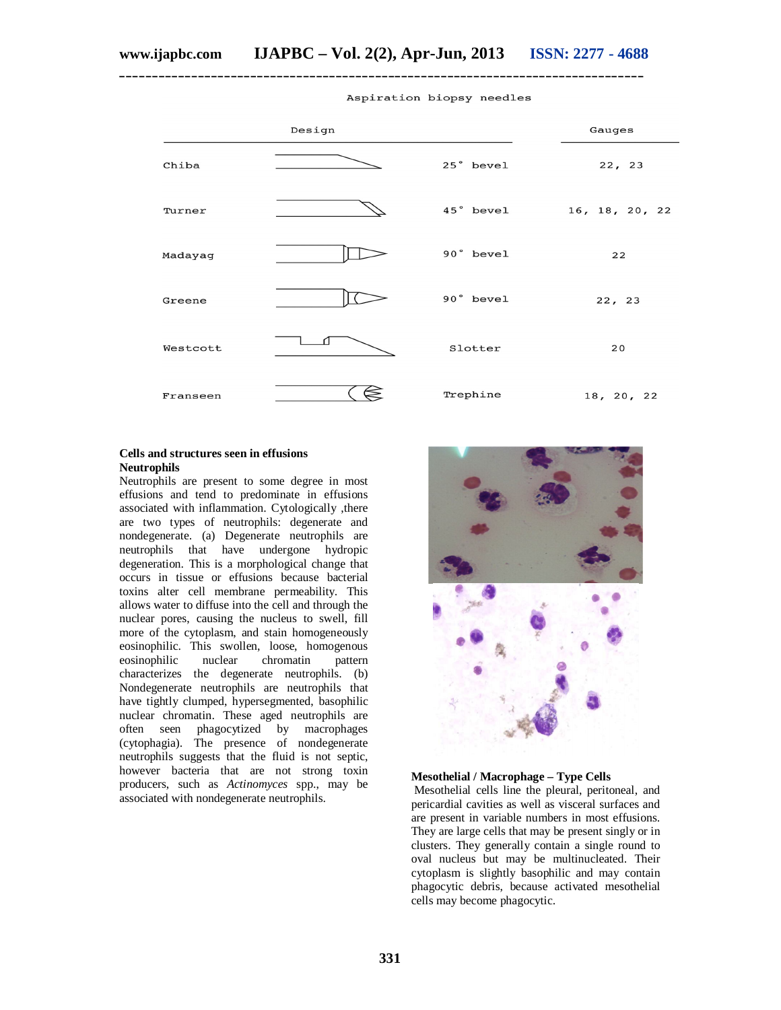**\_\_\_\_\_\_\_\_\_\_\_\_\_\_\_\_\_\_\_\_\_\_\_\_\_\_\_\_\_\_\_\_\_\_\_\_\_\_\_\_\_\_\_\_\_\_\_\_\_\_\_\_\_\_\_\_\_\_\_\_\_\_\_\_\_\_\_\_\_\_\_\_\_\_\_\_\_\_\_\_**



#### Aspiration biopsy needles

# **Cells and structures seen in effusions Neutrophils**

Neutrophils are present to some degree in most effusions and tend to predominate in effusions associated with inflammation. Cytologically ,there are two types of neutrophils: degenerate and nondegenerate. (a) Degenerate neutrophils are neutrophils that have undergone hydropic degeneration. This is a morphological change that occurs in tissue or effusions because bacterial toxins alter cell membrane permeability. This allows water to diffuse into the cell and through the nuclear pores, causing the nucleus to swell, fill more of the cytoplasm, and stain homogeneously eosinophilic. This swollen, loose, homogenous eosinophilic nuclear chromatin pattern characterizes the degenerate neutrophils. (b) Nondegenerate neutrophils are neutrophils that have tightly clumped, hypersegmented, basophilic nuclear chromatin. These aged neutrophils are often seen phagocytized by macrophages (cytophagia). The presence of nondegenerate neutrophils suggests that the fluid is not septic, however bacteria that are not strong toxin producers, such as *Actinomyces* spp., may be associated with nondegenerate neutrophils.



#### **Mesothelial / Macrophage – Type Cells**

Mesothelial cells line the pleural, peritoneal, and pericardial cavities as well as visceral surfaces and are present in variable numbers in most effusions. They are large cells that may be present singly or in clusters. They generally contain a single round to oval nucleus but may be multinucleated. Their cytoplasm is slightly basophilic and may contain phagocytic debris, because activated mesothelial cells may become phagocytic.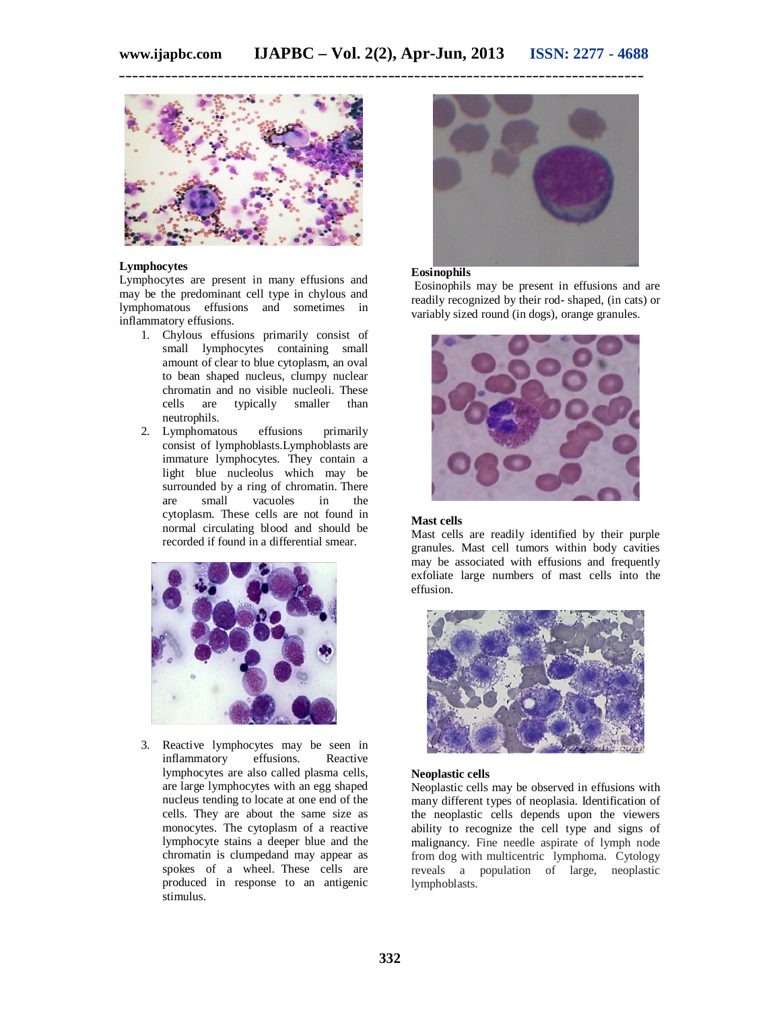

#### **Lymphocytes**

Lymphocytes are present in many effusions and may be the predominant cell type in chylous and lymphomatous effusions and sometimes in inflammatory effusions.

- 1. Chylous effusions primarily consist of small lymphocytes containing small amount of clear to blue cytoplasm, an oval to bean shaped nucleus, clumpy nuclear chromatin and no visible nucleoli. These cells are typically smaller than neutrophils.
- 2. Lymphomatous effusions primarily consist of lymphoblasts.Lymphoblasts are immature lymphocytes. They contain a light blue nucleolus which may be surrounded by a ring of chromatin. There are small vacuoles in the cytoplasm. These cells are not found in normal circulating blood and should be recorded if found in a differential smear.



3. Reactive lymphocytes may be seen in inflammatory effusions. Reactive inflammatory lymphocytes are also called plasma cells, are large lymphocytes with an egg shaped nucleus tending to locate at one end of the cells. They are about the same size as monocytes. The cytoplasm of a reactive lymphocyte stains a deeper blue and the chromatin is clumpedand may appear as spokes of a wheel. These cells are produced in response to an antigenic stimulus.



# **Eosinophils**

Eosinophils may be present in effusions and are readily recognized by their rod- shaped, (in cats) or variably sized round (in dogs), orange granules.



# **Mast cells**

Mast cells are readily identified by their purple granules. Mast cell tumors within body cavities may be associated with effusions and frequently exfoliate large numbers of mast cells into the effusion.



#### **Neoplastic cells**

Neoplastic cells may be observed in effusions with many different types of neoplasia. Identification of the neoplastic cells depends upon the viewers ability to recognize the cell type and signs of malignancy. Fine needle aspirate of lymph node from dog with multicentric lymphoma. Cytology reveals a population of large, neoplastic lymphoblasts.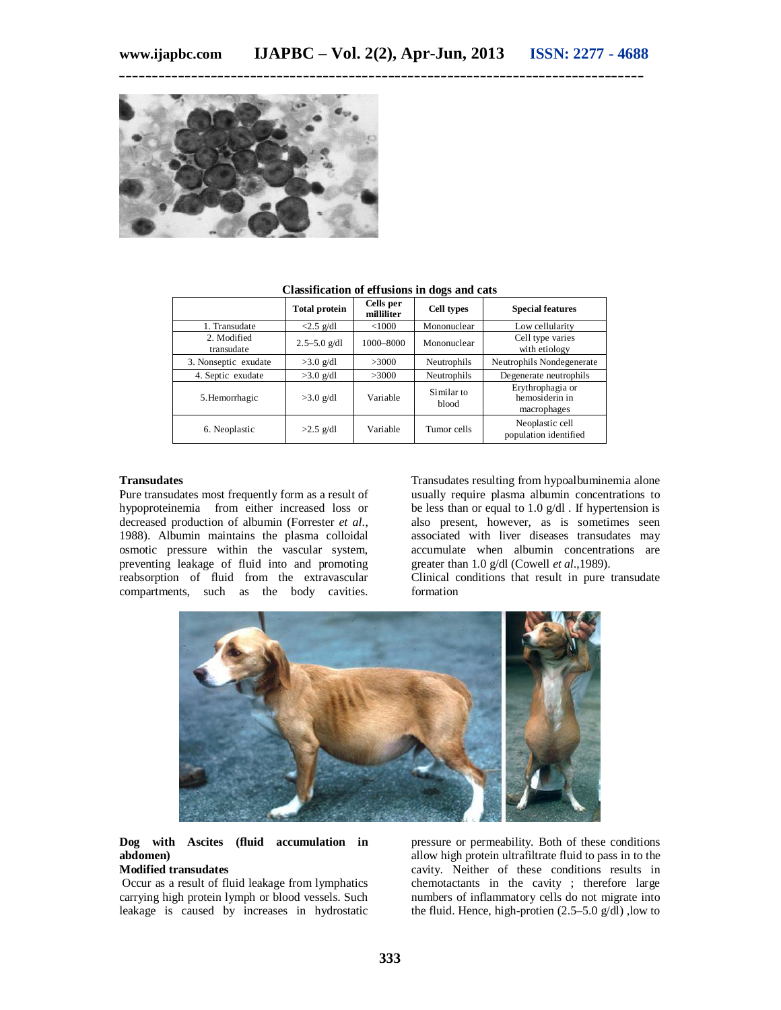

|                           | <b>Total protein</b>        | Cells per<br>milliliter | <b>Cell types</b>   | <b>Special features</b>                           |
|---------------------------|-----------------------------|-------------------------|---------------------|---------------------------------------------------|
| 1. Transudate             | $\langle 2.5 \text{ g/d} 1$ | < 1000                  | Mononuclear         | Low cellularity                                   |
| 2. Modified<br>transudate | $2.5 - 5.0$ g/dl            | 1000-8000               | Mononuclear         | Cell type varies<br>with etiology                 |
| 3. Nonseptic exudate      | $>3.0$ g/dl                 | >3000                   | Neutrophils         | Neutrophils Nondegenerate                         |
| 4. Septic exudate         | $>3.0$ g/dl                 | >3000                   | Neutrophils         | Degenerate neutrophils                            |
| 5. Hemorrhagic            | $>3.0$ g/dl                 | Variable                | Similar to<br>blood | Erythrophagia or<br>hemosiderin in<br>macrophages |
| 6. Neoplastic             | $>2.5$ g/dl                 | Variable                | Tumor cells         | Neoplastic cell<br>population identified          |

#### **Classification of effusions in dogs and cats**

#### **Transudates**

Pure transudates most frequently form as a result of hypoproteinemia from either increased loss or decreased production of albumin (Forrester *et al*., 1988). Albumin maintains the plasma colloidal osmotic pressure within the vascular system, preventing leakage of fluid into and promoting reabsorption of fluid from the extravascular compartments, such as the body cavities.

Transudates resulting from hypoalbuminemia alone usually require plasma albumin concentrations to be less than or equal to 1.0 g/dl . If hypertension is also present, however, as is sometimes seen associated with liver diseases transudates may accumulate when albumin concentrations are greater than 1.0 g/dl (Cowell *et al*.,1989).

Clinical conditions that result in pure transudate formation



# **Dog with Ascites (fluid accumulation in abdomen)**

# **Modified transudates**

Occur as a result of fluid leakage from lymphatics carrying high protein lymph or blood vessels. Such leakage is caused by increases in hydrostatic

pressure or permeability. Both of these conditions allow high protein ultrafiltrate fluid to pass in to the cavity. Neither of these conditions results in chemotactants in the cavity ; therefore large numbers of inflammatory cells do not migrate into the fluid. Hence, high-protien  $(2.5-5.0 \text{ g/dl})$ , low to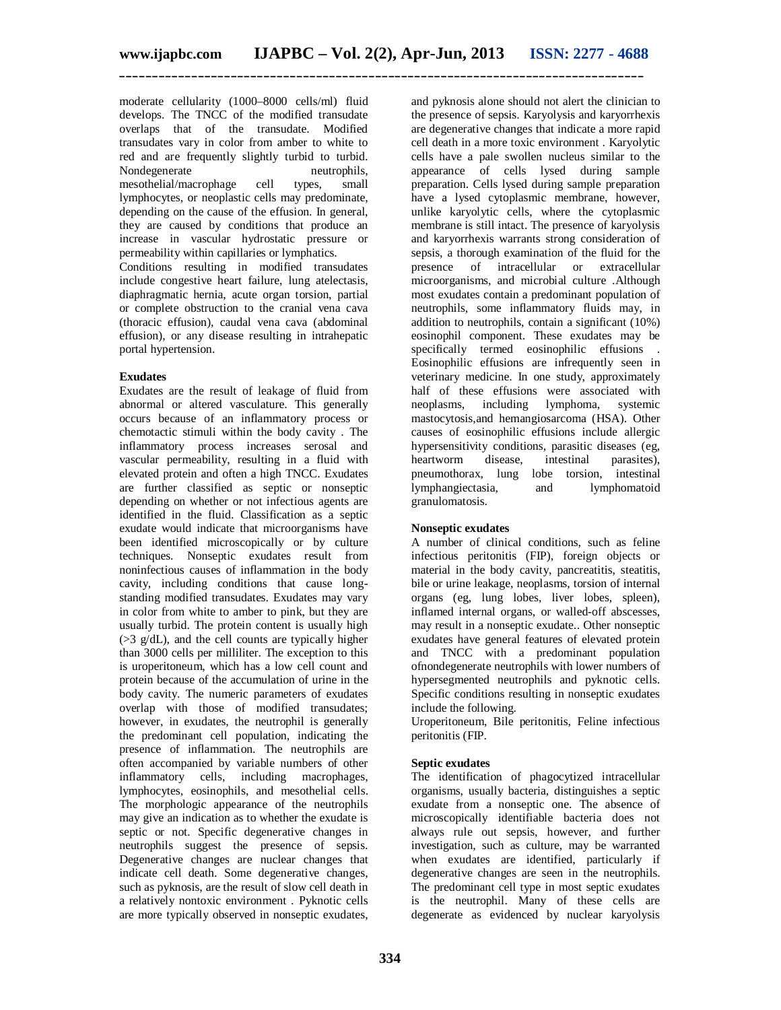moderate cellularity (1000–8000 cells/ml) fluid develops. The TNCC of the modified transudate overlaps that of the transudate. Modified transudates vary in color from amber to white to red and are frequently slightly turbid to turbid.<br>Nondegenerate neutrophils, Nondegenerate neutrophils,<br>mesothelial/macrophage cell types, small mesothelial/macrophage lymphocytes, or neoplastic cells may predominate, depending on the cause of the effusion. In general, they are caused by conditions that produce an increase in vascular hydrostatic pressure or permeability within capillaries or lymphatics.

Conditions resulting in modified transudates include congestive heart failure, lung atelectasis, diaphragmatic hernia, acute organ torsion, partial or complete obstruction to the cranial vena cava (thoracic effusion), caudal vena cava (abdominal effusion), or any disease resulting in intrahepatic portal hypertension.

### **Exudates**

Exudates are the result of leakage of fluid from abnormal or altered vasculature. This generally occurs because of an inflammatory process or chemotactic stimuli within the body cavity . The inflammatory process increases serosal and vascular permeability, resulting in a fluid with elevated protein and often a high TNCC. Exudates are further classified as septic or nonseptic depending on whether or not infectious agents are identified in the fluid. Classification as a septic exudate would indicate that microorganisms have been identified microscopically or by culture techniques. Nonseptic exudates result from noninfectious causes of inflammation in the body cavity, including conditions that cause longstanding modified transudates. Exudates may vary in color from white to amber to pink, but they are usually turbid. The protein content is usually high  $(>3 \text{ g/dL})$ , and the cell counts are typically higher than 3000 cells per milliliter. The exception to this is uroperitoneum, which has a low cell count and protein because of the accumulation of urine in the body cavity. The numeric parameters of exudates overlap with those of modified transudates; however, in exudates, the neutrophil is generally the predominant cell population, indicating the presence of inflammation. The neutrophils are often accompanied by variable numbers of other inflammatory cells, including macrophages, lymphocytes, eosinophils, and mesothelial cells. The morphologic appearance of the neutrophils may give an indication as to whether the exudate is septic or not. Specific degenerative changes in neutrophils suggest the presence of sepsis. Degenerative changes are nuclear changes that indicate cell death. Some degenerative changes, such as pyknosis, are the result of slow cell death in a relatively nontoxic environment . Pyknotic cells are more typically observed in nonseptic exudates,

and pyknosis alone should not alert the clinician to the presence of sepsis. Karyolysis and karyorrhexis are degenerative changes that indicate a more rapid cell death in a more toxic environment . Karyolytic cells have a pale swollen nucleus similar to the appearance of cells lysed during sample preparation. Cells lysed during sample preparation have a lysed cytoplasmic membrane, however, unlike karyolytic cells, where the cytoplasmic membrane is still intact. The presence of karyolysis and karyorrhexis warrants strong consideration of sepsis, a thorough examination of the fluid for the presence of intracellular or extracellular microorganisms, and microbial culture .Although most exudates contain a predominant population of neutrophils, some inflammatory fluids may, in addition to neutrophils, contain a significant (10%) eosinophil component. These exudates may be specifically termed eosinophilic effusions Eosinophilic effusions are infrequently seen in veterinary medicine. In one study, approximately half of these effusions were associated with neoplasms, including lymphoma, systemic mastocytosis,and hemangiosarcoma (HSA). Other causes of eosinophilic effusions include allergic hypersensitivity conditions, parasitic diseases (eg, heartworm disease, intestinal parasites). heartworm disease, intestinal parasites), pneumothorax, lung lobe torsion, intestinal lymphangiectasia, and lymphomatoid granulomatosis.

### **Nonseptic exudates**

A number of clinical conditions, such as feline infectious peritonitis (FIP), foreign objects or material in the body cavity, pancreatitis, steatitis, bile or urine leakage, neoplasms, torsion of internal organs (eg, lung lobes, liver lobes, spleen), inflamed internal organs, or walled-off abscesses, may result in a nonseptic exudate.. Other nonseptic exudates have general features of elevated protein and TNCC with a predominant population ofnondegenerate neutrophils with lower numbers of hypersegmented neutrophils and pyknotic cells. Specific conditions resulting in nonseptic exudates include the following.

Uroperitoneum, Bile peritonitis, Feline infectious peritonitis (FIP.

### **Septic exudates**

The identification of phagocytized intracellular organisms, usually bacteria, distinguishes a septic exudate from a nonseptic one. The absence of microscopically identifiable bacteria does not always rule out sepsis, however, and further investigation, such as culture, may be warranted when exudates are identified, particularly if degenerative changes are seen in the neutrophils. The predominant cell type in most septic exudates is the neutrophil. Many of these cells are degenerate as evidenced by nuclear karyolysis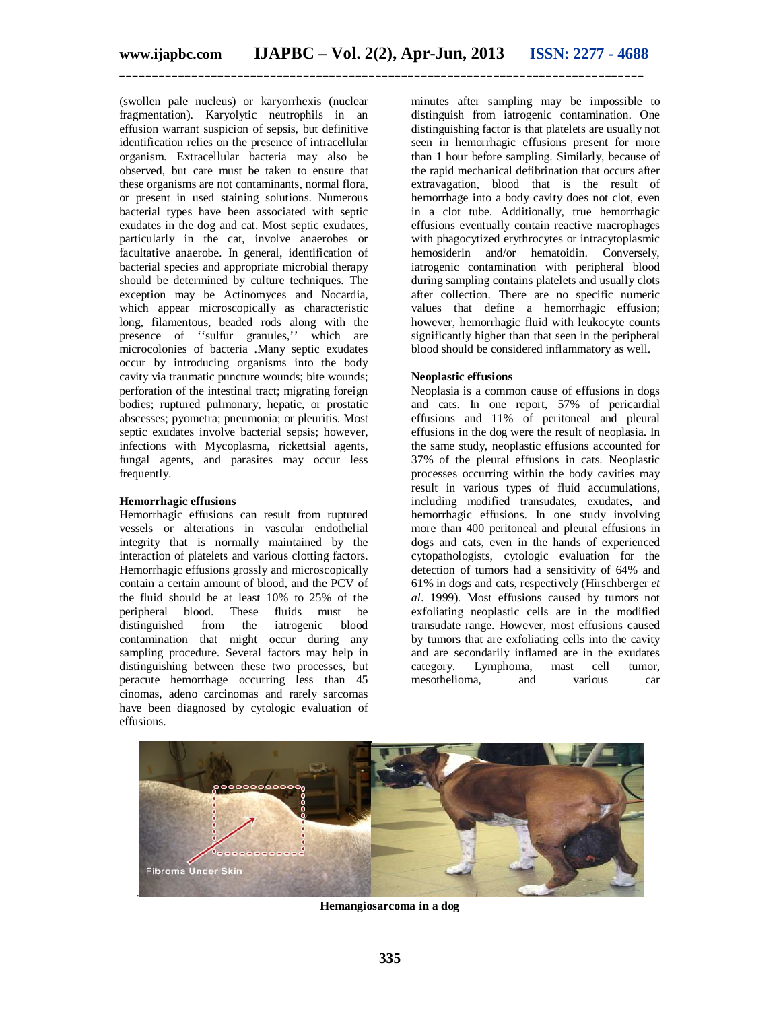(swollen pale nucleus) or karyorrhexis (nuclear fragmentation). Karyolytic neutrophils in an effusion warrant suspicion of sepsis, but definitive identification relies on the presence of intracellular organism. Extracellular bacteria may also be observed, but care must be taken to ensure that these organisms are not contaminants, normal flora, or present in used staining solutions. Numerous bacterial types have been associated with septic exudates in the dog and cat. Most septic exudates, particularly in the cat, involve anaerobes or facultative anaerobe. In general, identification of bacterial species and appropriate microbial therapy should be determined by culture techniques. The exception may be Actinomyces and Nocardia, which appear microscopically as characteristic long, filamentous, beaded rods along with the presence of ''sulfur granules,'' which are microcolonies of bacteria .Many septic exudates occur by introducing organisms into the body cavity via traumatic puncture wounds; bite wounds; perforation of the intestinal tract; migrating foreign bodies; ruptured pulmonary, hepatic, or prostatic abscesses; pyometra; pneumonia; or pleuritis. Most septic exudates involve bacterial sepsis; however, infections with Mycoplasma, rickettsial agents, fungal agents, and parasites may occur less frequently.

### **Hemorrhagic effusions**

Hemorrhagic effusions can result from ruptured vessels or alterations in vascular endothelial integrity that is normally maintained by the interaction of platelets and various clotting factors. Hemorrhagic effusions grossly and microscopically contain a certain amount of blood, and the PCV of the fluid should be at least 10% to 25% of the peripheral blood. These fluids must be distinguished from the iatrogenic blood distinguished from the contamination that might occur during any sampling procedure. Several factors may help in distinguishing between these two processes, but peracute hemorrhage occurring less than 45 cinomas, adeno carcinomas and rarely sarcomas have been diagnosed by cytologic evaluation of effusions.

minutes after sampling may be impossible to distinguish from iatrogenic contamination. One distinguishing factor is that platelets are usually not seen in hemorrhagic effusions present for more than 1 hour before sampling. Similarly, because of the rapid mechanical defibrination that occurs after extravagation, blood that is the result of hemorrhage into a body cavity does not clot, even in a clot tube. Additionally, true hemorrhagic effusions eventually contain reactive macrophages with phagocytized erythrocytes or intracytoplasmic hemosiderin and/or hematoidin. Conversely, iatrogenic contamination with peripheral blood during sampling contains platelets and usually clots after collection. There are no specific numeric values that define a hemorrhagic effusion; however, hemorrhagic fluid with leukocyte counts significantly higher than that seen in the peripheral blood should be considered inflammatory as well.

#### **Neoplastic effusions**

Neoplasia is a common cause of effusions in dogs and cats. In one report, 57% of pericardial effusions and 11% of peritoneal and pleural effusions in the dog were the result of neoplasia. In the same study, neoplastic effusions accounted for 37% of the pleural effusions in cats. Neoplastic processes occurring within the body cavities may result in various types of fluid accumulations, including modified transudates, exudates, and hemorrhagic effusions. In one study involving more than 400 peritoneal and pleural effusions in dogs and cats, even in the hands of experienced cytopathologists, cytologic evaluation for the detection of tumors had a sensitivity of 64% and 61% in dogs and cats, respectively (Hirschberger *et al*. 1999). Most effusions caused by tumors not exfoliating neoplastic cells are in the modified transudate range. However, most effusions caused by tumors that are exfoliating cells into the cavity and are secondarily inflamed are in the exudates<br>category. Lymphoma, mast cell tumor. category. Lymphoma, mast cell tumor, mesothelioma, and various car



**Hemangiosarcoma in a dog**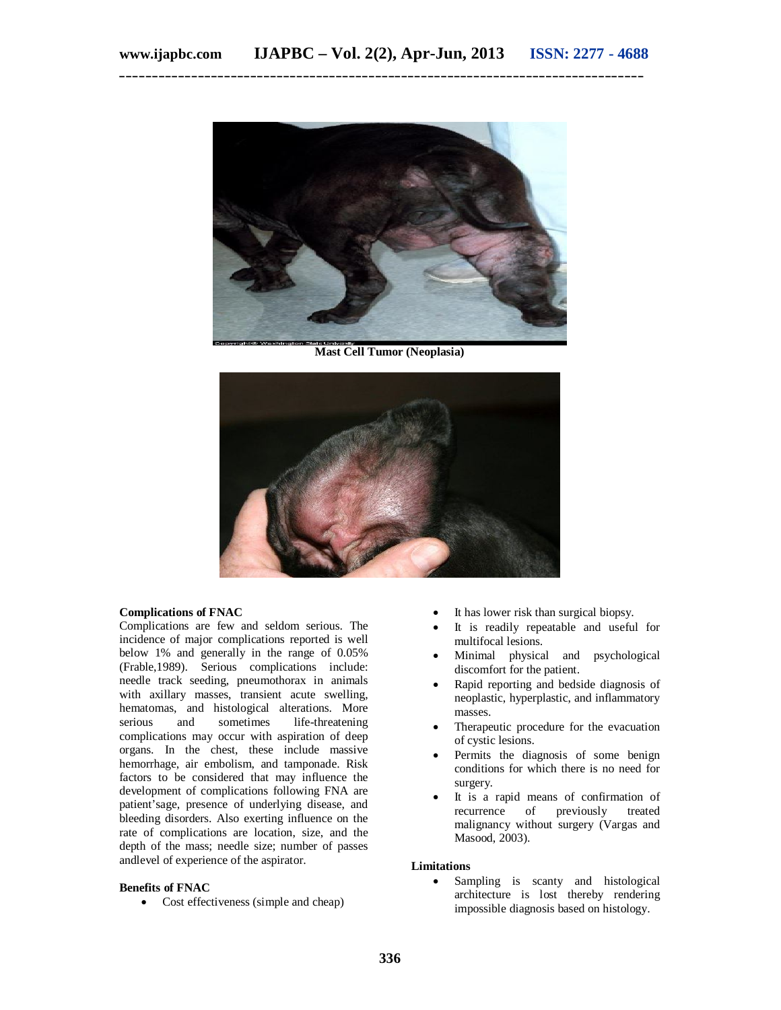

**Mast Cell Tumor (Neoplasia)**



#### **Complications of FNAC**

Complications are few and seldom serious. The incidence of major complications reported is well below 1% and generally in the range of 0.05% (Frable,1989). Serious complications include: needle track seeding, pneumothorax in animals with axillary masses, transient acute swelling, hematomas, and histological alterations. More<br>serious and sometimes life-threatening life-threatening complications may occur with aspiration of deep organs. In the chest, these include massive hemorrhage, air embolism, and tamponade. Risk factors to be considered that may influence the development of complications following FNA are patient'sage, presence of underlying disease, and bleeding disorders. Also exerting influence on the rate of complications are location, size, and the depth of the mass; needle size; number of passes andlevel of experience of the aspirator.

# **Benefits of FNAC**

• Cost effectiveness (simple and cheap)

- It has lower risk than surgical biopsy.
- It is readily repeatable and useful for multifocal lesions.
- Minimal physical and psychological discomfort for the patient.
- Rapid reporting and bedside diagnosis of neoplastic, hyperplastic, and inflammatory masses.
- Therapeutic procedure for the evacuation of cystic lesions.
- Permits the diagnosis of some benign conditions for which there is no need for surgery.
- It is a rapid means of confirmation of recurrence of previously treated malignancy without surgery (Vargas and Masood, 2003).

#### **Limitations**

 Sampling is scanty and histological architecture is lost thereby rendering impossible diagnosis based on histology.